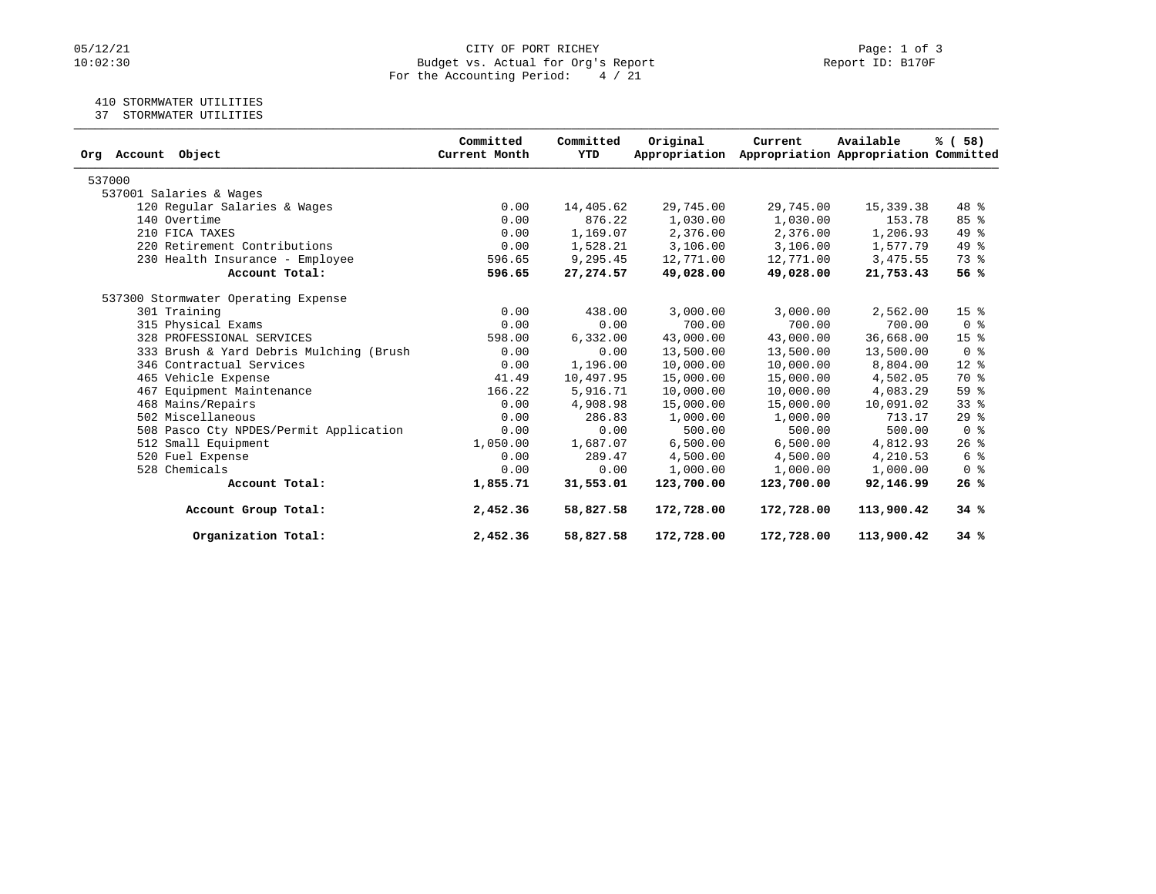# $05/12/21$   $0:02:30$  Page: 1 of 3<br>Budget vs. Actual for Org's Report  $0.02:30$  Report ID: B170F Budget vs. Actual for Org's Report For the Accounting Period: 4 / 21

### 410 STORMWATER UTILITIES

37 STORMWATER UTILITIES

| Org Account Object                      | Committed<br>Current Month | Committed<br>YTD | Original<br>Appropriation | Current    | Available<br>Appropriation Appropriation Committed | % ( 58 )           |
|-----------------------------------------|----------------------------|------------------|---------------------------|------------|----------------------------------------------------|--------------------|
| 537000                                  |                            |                  |                           |            |                                                    |                    |
| 537001 Salaries & Wages                 |                            |                  |                           |            |                                                    |                    |
| 120 Regular Salaries & Wages            | 0.00                       | 14,405.62        | 29,745.00                 | 29,745.00  | 15,339.38                                          | 48 %               |
| 140 Overtime                            | 0.00                       | 876.22           | 1,030.00                  | 1,030.00   | 153.78                                             | 85%                |
| 210 FICA TAXES                          | 0.00                       | 1,169.07         | 2,376.00                  | 2,376.00   | 1,206.93                                           | 49 %               |
| 220 Retirement Contributions            | 0.00                       | 1,528.21         | 3,106.00                  | 3,106.00   | 1,577.79                                           | 49 %               |
| 230 Health Insurance - Employee         | 596.65                     | 9,295.45         | 12,771.00                 | 12,771.00  | 3,475.55                                           | $73$ $\frac{6}{3}$ |
| Account Total:                          | 596.65                     | 27, 274.57       | 49,028.00                 | 49,028.00  | 21,753.43                                          | 56%                |
| 537300 Stormwater Operating Expense     |                            |                  |                           |            |                                                    |                    |
| 301 Training                            | 0.00                       | 438.00           | 3,000.00                  | 3,000.00   | 2,562.00                                           | 15 <sup>8</sup>    |
| 315 Physical Exams                      | 0.00                       | 0.00             | 700.00                    | 700.00     | 700.00                                             | 0 <sup>8</sup>     |
| 328 PROFESSIONAL SERVICES               | 598.00                     | 6,332.00         | 43,000.00                 | 43,000.00  | 36,668.00                                          | 15 <sup>8</sup>    |
| 333 Brush & Yard Debris Mulching (Brush | 0.00                       | 0.00             | 13,500.00                 | 13,500.00  | 13,500.00                                          | 0 <sup>8</sup>     |
| 346 Contractual Services                | 0.00                       | 1,196.00         | 10,000.00                 | 10,000.00  | 8,804.00                                           | $12*$              |
| 465 Vehicle Expense                     | 41.49                      | 10,497.95        | 15,000.00                 | 15,000.00  | 4,502.05                                           | 70 %               |
| 467 Equipment Maintenance               | 166.22                     | 5,916.71         | 10,000.00                 | 10,000.00  | 4,083.29                                           | 59%                |
| 468 Mains/Repairs                       | 0.00                       | 4,908.98         | 15,000.00                 | 15,000.00  | 10,091.02                                          | $33$ $%$           |
| 502 Miscellaneous                       | 0.00                       | 286.83           | 1,000.00                  | 1,000.00   | 713.17                                             | $29$ $%$           |
| 508 Pasco Cty NPDES/Permit Application  | 0.00                       | 0.00             | 500.00                    | 500.00     | 500.00                                             | 0 <sup>8</sup>     |
| 512 Small Equipment                     | 1,050.00                   | 1,687.07         | 6,500.00                  | 6,500.00   | 4,812.93                                           | $26$ %             |
| 520 Fuel Expense                        | 0.00                       | 289.47           | 4,500.00                  | 4,500.00   | 4,210.53                                           | 6 %                |
| 528 Chemicals                           | 0.00                       | 0.00             | 1,000.00                  | 1,000.00   | 1,000.00                                           | 0 <sup>8</sup>     |
| Account Total:                          | 1,855.71                   | 31,553.01        | 123,700.00                | 123,700.00 | 92,146.99                                          | 26%                |
| Account Group Total:                    | 2,452.36                   | 58,827.58        | 172,728.00                | 172,728.00 | 113,900.42                                         | 34%                |
| Organization Total:                     | 2,452.36                   | 58,827.58        | 172,728.00                | 172,728.00 | 113,900.42                                         | 34%                |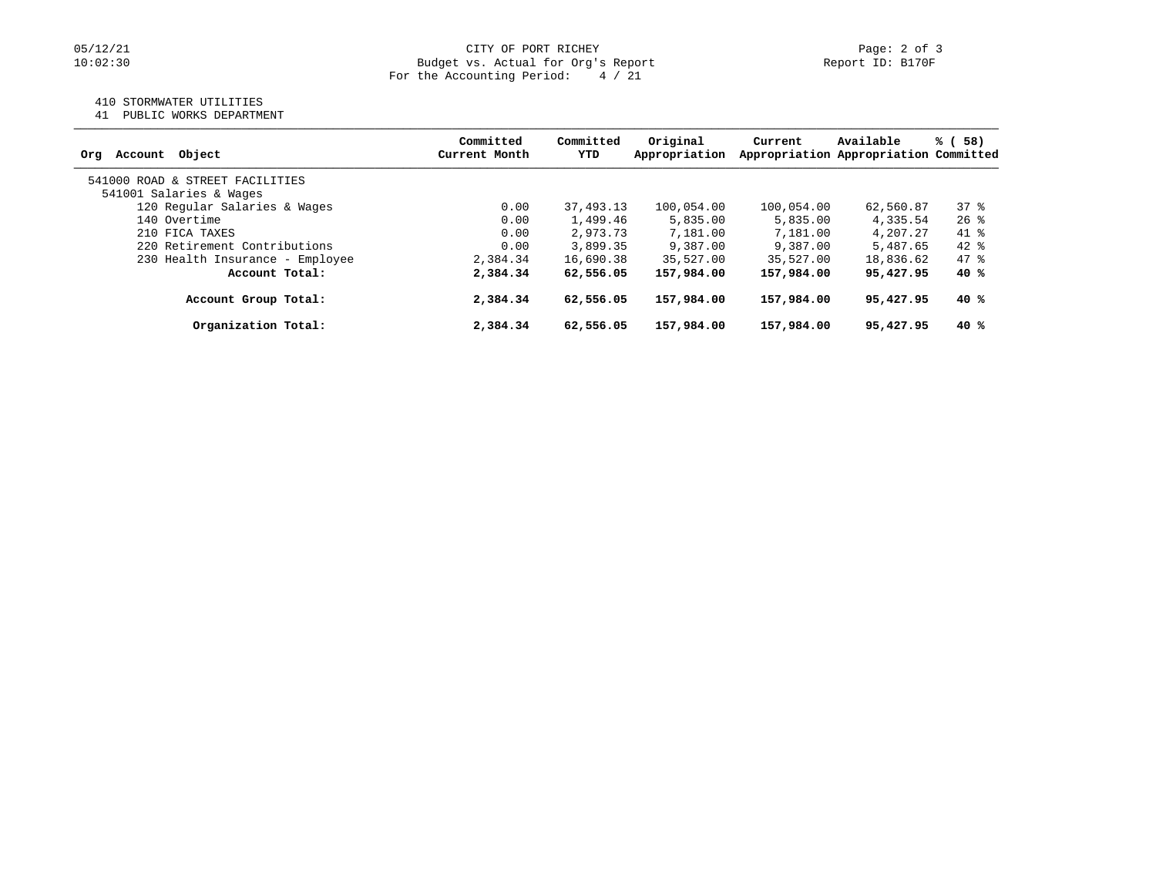### 410 STORMWATER UTILITIES

41 PUBLIC WORKS DEPARTMENT

| Account Object<br>Ora           | Committed<br>Current Month | Committed<br>YTD | Original<br>Appropriation | Current    | Available<br>Appropriation Appropriation Committed | % (<br>58) |
|---------------------------------|----------------------------|------------------|---------------------------|------------|----------------------------------------------------|------------|
| 541000 ROAD & STREET FACILITIES |                            |                  |                           |            |                                                    |            |
| 541001 Salaries & Wages         |                            |                  |                           |            |                                                    |            |
| 120 Regular Salaries & Wages    | 0.00                       | 37,493.13        | 100,054.00                | 100,054.00 | 62,560.87                                          | 378        |
| 140 Overtime                    | 0.00                       | 1,499.46         | 5,835.00                  | 5,835.00   | 4,335.54                                           | $26$ %     |
| 210 FICA TAXES                  | 0.00                       | 2,973.73         | 7,181.00                  | 7,181.00   | 4,207.27                                           | 41 %       |
| 220 Retirement Contributions    | 0.00                       | 3,899.35         | 9,387.00                  | 9,387.00   | 5,487.65                                           | $42*$      |
| 230 Health Insurance - Employee | 2,384.34                   | 16,690.38        | 35,527.00                 | 35,527.00  | 18,836.62                                          | 47 %       |
| Account Total:                  | 2,384.34                   | 62,556.05        | 157,984.00                | 157,984.00 | 95,427.95                                          | 40%        |
| Account Group Total:            | 2,384.34                   | 62,556.05        | 157,984.00                | 157,984.00 | 95,427.95                                          | 40 %       |
| Organization Total:             | 2,384.34                   | 62,556.05        | 157,984.00                | 157,984.00 | 95,427.95                                          | 40 %       |